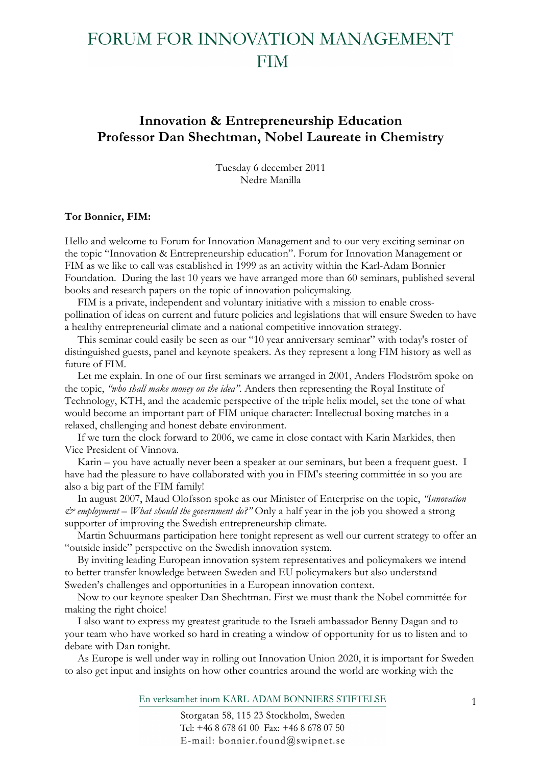## **Innovation & Entrepreneurship Education Professor Dan Shechtman, Nobel Laureate in Chemistry**

Tuesday 6 december 2011 Nedre Manilla

#### **Tor Bonnier, FIM:**

Hello and welcome to Forum for Innovation Management and to our very exciting seminar on the topic "Innovation & Entrepreneurship education". Forum for Innovation Management or FIM as we like to call was established in 1999 as an activity within the Karl-Adam Bonnier Foundation. During the last 10 years we have arranged more than 60 seminars, published several books and research papers on the topic of innovation policymaking.

FIM is a private, independent and voluntary initiative with a mission to enable crosspollination of ideas on current and future policies and legislations that will ensure Sweden to have a healthy entrepreneurial climate and a national competitive innovation strategy.

This seminar could easily be seen as our "10 year anniversary seminar" with today's roster of distinguished guests, panel and keynote speakers. As they represent a long FIM history as well as future of FIM.

Let me explain. In one of our first seminars we arranged in 2001, Anders Flodström spoke on the topic, *"who shall make money on the idea"*. Anders then representing the Royal Institute of Technology, KTH, and the academic perspective of the triple helix model, set the tone of what would become an important part of FIM unique character: Intellectual boxing matches in a relaxed, challenging and honest debate environment.

If we turn the clock forward to 2006, we came in close contact with Karin Markides, then Vice President of Vinnova.

Karin – you have actually never been a speaker at our seminars, but been a frequent guest. I have had the pleasure to have collaborated with you in FIM's steering committée in so you are also a big part of the FIM family!

In august 2007, Maud Olofsson spoke as our Minister of Enterprise on the topic, *"Innovation & employment – What should the government do?"* Only a half year in the job you showed a strong supporter of improving the Swedish entrepreneurship climate.

Martin Schuurmans participation here tonight represent as well our current strategy to offer an "outside inside" perspective on the Swedish innovation system.

By inviting leading European innovation system representatives and policymakers we intend to better transfer knowledge between Sweden and EU policymakers but also understand Sweden's challenges and opportunities in a European innovation context.

Now to our keynote speaker Dan Shechtman. First we must thank the Nobel committée for making the right choice!

I also want to express my greatest gratitude to the Israeli ambassador Benny Dagan and to your team who have worked so hard in creating a window of opportunity for us to listen and to debate with Dan tonight.

As Europe is well under way in rolling out Innovation Union 2020, it is important for Sweden to also get input and insights on how other countries around the world are working with the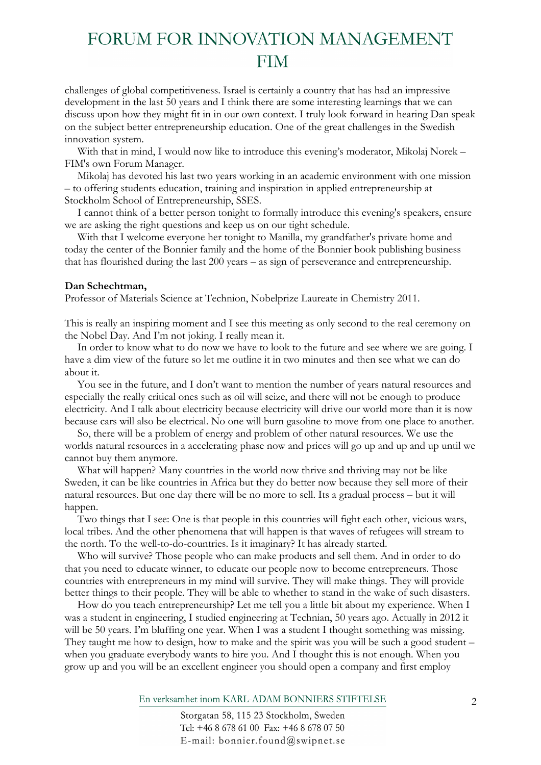challenges of global competitiveness. Israel is certainly a country that has had an impressive development in the last 50 years and I think there are some interesting learnings that we can discuss upon how they might fit in in our own context. I truly look forward in hearing Dan speak on the subject better entrepreneurship education. One of the great challenges in the Swedish innovation system.

With that in mind, I would now like to introduce this evening's moderator, Mikolaj Norek – FIM's own Forum Manager.

Mikolaj has devoted his last two years working in an academic environment with one mission – to offering students education, training and inspiration in applied entrepreneurship at Stockholm School of Entrepreneurship, SSES.

I cannot think of a better person tonight to formally introduce this evening's speakers, ensure we are asking the right questions and keep us on our tight schedule.

With that I welcome everyone her tonight to Manilla, my grandfather's private home and today the center of the Bonnier family and the home of the Bonnier book publishing business that has flourished during the last 200 years – as sign of perseverance and entrepreneurship.

#### **Dan Schechtman,**

Professor of Materials Science at Technion, Nobelprize Laureate in Chemistry 2011.

This is really an inspiring moment and I see this meeting as only second to the real ceremony on the Nobel Day. And I'm not joking. I really mean it.

In order to know what to do now we have to look to the future and see where we are going. I have a dim view of the future so let me outline it in two minutes and then see what we can do about it.

You see in the future, and I don't want to mention the number of years natural resources and especially the really critical ones such as oil will seize, and there will not be enough to produce electricity. And I talk about electricity because electricity will drive our world more than it is now because cars will also be electrical. No one will burn gasoline to move from one place to another.

So, there will be a problem of energy and problem of other natural resources. We use the worlds natural resources in a accelerating phase now and prices will go up and up and up until we cannot buy them anymore.

What will happen? Many countries in the world now thrive and thriving may not be like Sweden, it can be like countries in Africa but they do better now because they sell more of their natural resources. But one day there will be no more to sell. Its a gradual process – but it will happen.

Two things that I see: One is that people in this countries will fight each other, vicious wars, local tribes. And the other phenomena that will happen is that waves of refugees will stream to the north. To the well-to-do-countries. Is it imaginary? It has already started.

Who will survive? Those people who can make products and sell them. And in order to do that you need to educate winner, to educate our people now to become entrepreneurs. Those countries with entrepreneurs in my mind will survive. They will make things. They will provide better things to their people. They will be able to whether to stand in the wake of such disasters.

How do you teach entrepreneurship? Let me tell you a little bit about my experience. When I was a student in engineering, I studied engineering at Technian, 50 years ago. Actually in 2012 it will be 50 years. I'm bluffing one year. When I was a student I thought something was missing. They taught me how to design, how to make and the spirit was you will be such a good student – when you graduate everybody wants to hire you. And I thought this is not enough. When you grow up and you will be an excellent engineer you should open a company and first employ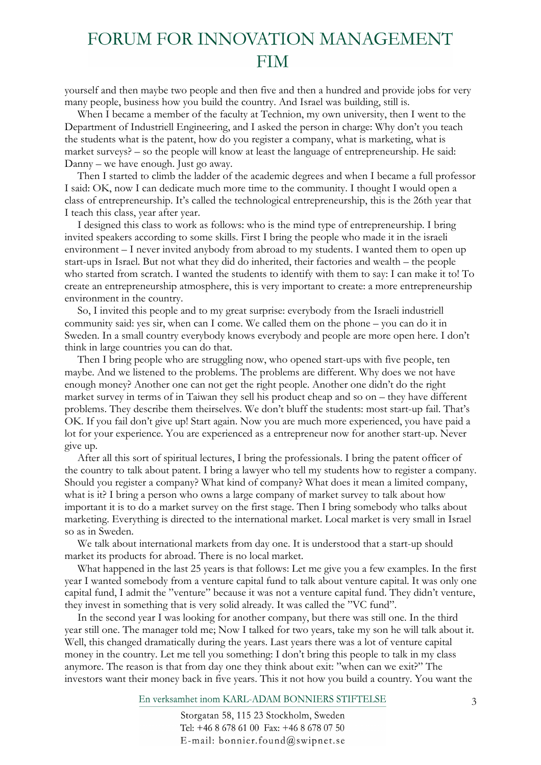yourself and then maybe two people and then five and then a hundred and provide jobs for very many people, business how you build the country. And Israel was building, still is.

When I became a member of the faculty at Technion, my own university, then I went to the Department of Industriell Engineering, and I asked the person in charge: Why don't you teach the students what is the patent, how do you register a company, what is marketing, what is market surveys? – so the people will know at least the language of entrepreneurship. He said: Danny – we have enough. Just go away.

Then I started to climb the ladder of the academic degrees and when I became a full professor I said: OK, now I can dedicate much more time to the community. I thought I would open a class of entrepreneurship. It's called the technological entrepreneurship, this is the 26th year that I teach this class, year after year.

I designed this class to work as follows: who is the mind type of entrepreneurship. I bring invited speakers according to some skills. First I bring the people who made it in the israeli environment – I never invited anybody from abroad to my students. I wanted them to open up start-ups in Israel. But not what they did do inherited, their factories and wealth – the people who started from scratch. I wanted the students to identify with them to say: I can make it to! To create an entrepreneurship atmosphere, this is very important to create: a more entrepreneurship environment in the country.

So, I invited this people and to my great surprise: everybody from the Israeli industriell community said: yes sir, when can I come. We called them on the phone – you can do it in Sweden. In a small country everybody knows everybody and people are more open here. I don't think in large countries you can do that.

Then I bring people who are struggling now, who opened start-ups with five people, ten maybe. And we listened to the problems. The problems are different. Why does we not have enough money? Another one can not get the right people. Another one didn't do the right market survey in terms of in Taiwan they sell his product cheap and so on – they have different problems. They describe them theirselves. We don't bluff the students: most start-up fail. That's OK. If you fail don't give up! Start again. Now you are much more experienced, you have paid a lot for your experience. You are experienced as a entrepreneur now for another start-up. Never give up.

After all this sort of spiritual lectures, I bring the professionals. I bring the patent officer of the country to talk about patent. I bring a lawyer who tell my students how to register a company. Should you register a company? What kind of company? What does it mean a limited company, what is it? I bring a person who owns a large company of market survey to talk about how important it is to do a market survey on the first stage. Then I bring somebody who talks about marketing. Everything is directed to the international market. Local market is very small in Israel so as in Sweden.

We talk about international markets from day one. It is understood that a start-up should market its products for abroad. There is no local market.

What happened in the last 25 years is that follows: Let me give you a few examples. In the first year I wanted somebody from a venture capital fund to talk about venture capital. It was only one capital fund, I admit the "venture" because it was not a venture capital fund. They didn't venture, they invest in something that is very solid already. It was called the "VC fund".

In the second year I was looking for another company, but there was still one. In the third year still one. The manager told me; Now I talked for two years, take my son he will talk about it. Well, this changed dramatically during the years. Last years there was a lot of venture capital money in the country. Let me tell you something: I don't bring this people to talk in my class anymore. The reason is that from day one they think about exit: "when can we exit?" The investors want their money back in five years. This it not how you build a country. You want the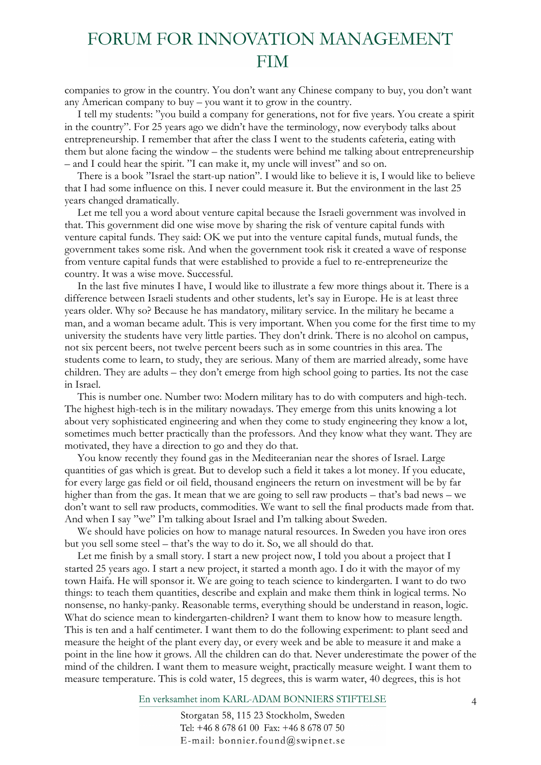companies to grow in the country. You don't want any Chinese company to buy, you don't want any American company to buy – you want it to grow in the country.

I tell my students: "you build a company for generations, not for five years. You create a spirit in the country". For 25 years ago we didn't have the terminology, now everybody talks about entrepreneurship. I remember that after the class I went to the students cafeteria, eating with them but alone facing the window – the students were behind me talking about entrepreneurship – and I could hear the spirit. "I can make it, my uncle will invest" and so on.

There is a book "Israel the start-up nation". I would like to believe it is, I would like to believe that I had some influence on this. I never could measure it. But the environment in the last 25 years changed dramatically.

Let me tell you a word about venture capital because the Israeli government was involved in that. This government did one wise move by sharing the risk of venture capital funds with venture capital funds. They said: OK we put into the venture capital funds, mutual funds, the government takes some risk. And when the government took risk it created a wave of response from venture capital funds that were established to provide a fuel to re-entrepreneurize the country. It was a wise move. Successful.

In the last five minutes I have, I would like to illustrate a few more things about it. There is a difference between Israeli students and other students, let's say in Europe. He is at least three years older. Why so? Because he has mandatory, military service. In the military he became a man, and a woman became adult. This is very important. When you come for the first time to my university the students have very little parties. They don't drink. There is no alcohol on campus, not six percent beers, not twelve percent beers such as in some countries in this area. The students come to learn, to study, they are serious. Many of them are married already, some have children. They are adults – they don't emerge from high school going to parties. Its not the case in Israel.

This is number one. Number two: Modern military has to do with computers and high-tech. The highest high-tech is in the military nowadays. They emerge from this units knowing a lot about very sophisticated engineering and when they come to study engineering they know a lot, sometimes much better practically than the professors. And they know what they want. They are motivated, they have a direction to go and they do that.

You know recently they found gas in the Mediteeranian near the shores of Israel. Large quantities of gas which is great. But to develop such a field it takes a lot money. If you educate, for every large gas field or oil field, thousand engineers the return on investment will be by far higher than from the gas. It mean that we are going to sell raw products – that's bad news – we don't want to sell raw products, commodities. We want to sell the final products made from that. And when I say "we" I'm talking about Israel and I'm talking about Sweden.

We should have policies on how to manage natural resources. In Sweden you have iron ores but you sell some steel – that's the way to do it. So, we all should do that.

Let me finish by a small story. I start a new project now, I told you about a project that I started 25 years ago. I start a new project, it started a month ago. I do it with the mayor of my town Haifa. He will sponsor it. We are going to teach science to kindergarten. I want to do two things: to teach them quantities, describe and explain and make them think in logical terms. No nonsense, no hanky-panky. Reasonable terms, everything should be understand in reason, logic. What do science mean to kindergarten-children? I want them to know how to measure length. This is ten and a half centimeter. I want them to do the following experiment: to plant seed and measure the height of the plant every day, or every week and be able to measure it and make a point in the line how it grows. All the children can do that. Never underestimate the power of the mind of the children. I want them to measure weight, practically measure weight. I want them to measure temperature. This is cold water, 15 degrees, this is warm water, 40 degrees, this is hot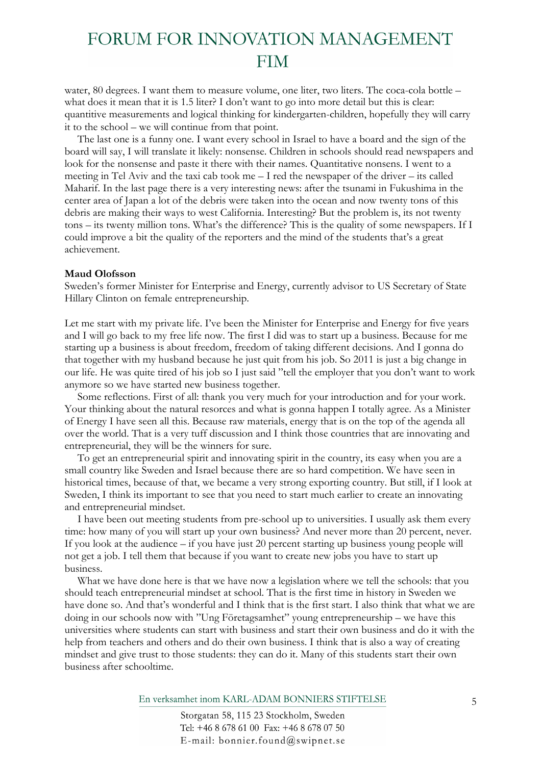water, 80 degrees. I want them to measure volume, one liter, two liters. The coca-cola bottle – what does it mean that it is 1.5 liter? I don't want to go into more detail but this is clear: quantitive measurements and logical thinking for kindergarten-children, hopefully they will carry it to the school – we will continue from that point.

The last one is a funny one. I want every school in Israel to have a board and the sign of the board will say, I will translate it likely: nonsense. Children in schools should read newspapers and look for the nonsense and paste it there with their names. Quantitative nonsens. I went to a meeting in Tel Aviv and the taxi cab took me – I red the newspaper of the driver – its called Maharif. In the last page there is a very interesting news: after the tsunami in Fukushima in the center area of Japan a lot of the debris were taken into the ocean and now twenty tons of this debris are making their ways to west California. Interesting? But the problem is, its not twenty tons – its twenty million tons. What's the difference? This is the quality of some newspapers. If I could improve a bit the quality of the reporters and the mind of the students that's a great achievement.

#### **Maud Olofsson**

Sweden's former Minister for Enterprise and Energy, currently advisor to US Secretary of State Hillary Clinton on female entrepreneurship.

Let me start with my private life. I've been the Minister for Enterprise and Energy for five years and I will go back to my free life now. The first I did was to start up a business. Because for me starting up a business is about freedom, freedom of taking different decisions. And I gonna do that together with my husband because he just quit from his job. So 2011 is just a big change in our life. He was quite tired of his job so I just said "tell the employer that you don't want to work anymore so we have started new business together.

Some reflections. First of all: thank you very much for your introduction and for your work. Your thinking about the natural resorces and what is gonna happen I totally agree. As a Minister of Energy I have seen all this. Because raw materials, energy that is on the top of the agenda all over the world. That is a very tuff discussion and I think those countries that are innovating and entrepreneurial, they will be the winners for sure.

To get an entrepreneurial spirit and innovating spirit in the country, its easy when you are a small country like Sweden and Israel because there are so hard competition. We have seen in historical times, because of that, we became a very strong exporting country. But still, if I look at Sweden, I think its important to see that you need to start much earlier to create an innovating and entrepreneurial mindset.

I have been out meeting students from pre-school up to universities. I usually ask them every time: how many of you will start up your own business? And never more than 20 percent, never. If you look at the audience – if you have just 20 percent starting up business young people will not get a job. I tell them that because if you want to create new jobs you have to start up business.

What we have done here is that we have now a legislation where we tell the schools: that you should teach entrepreneurial mindset at school. That is the first time in history in Sweden we have done so. And that's wonderful and I think that is the first start. I also think that what we are doing in our schools now with "Ung Företagsamhet" young entrepreneurship – we have this universities where students can start with business and start their own business and do it with the help from teachers and others and do their own business. I think that is also a way of creating mindset and give trust to those students: they can do it. Many of this students start their own business after schooltime.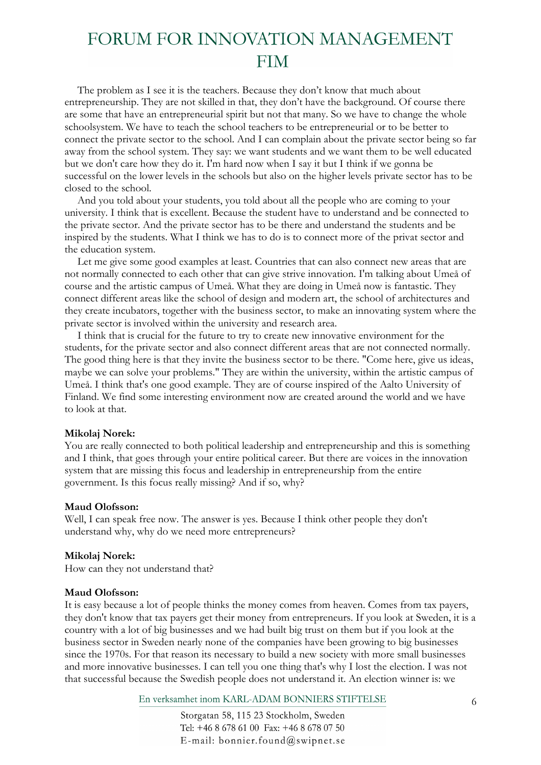The problem as I see it is the teachers. Because they don't know that much about entrepreneurship. They are not skilled in that, they don't have the background. Of course there are some that have an entrepreneurial spirit but not that many. So we have to change the whole schoolsystem. We have to teach the school teachers to be entrepreneurial or to be better to connect the private sector to the school. And I can complain about the private sector being so far away from the school system. They say: we want students and we want them to be well educated but we don't care how they do it. I'm hard now when I say it but I think if we gonna be successful on the lower levels in the schools but also on the higher levels private sector has to be closed to the school.

And you told about your students, you told about all the people who are coming to your university. I think that is excellent. Because the student have to understand and be connected to the private sector. And the private sector has to be there and understand the students and be inspired by the students. What I think we has to do is to connect more of the privat sector and the education system.

Let me give some good examples at least. Countries that can also connect new areas that are not normally connected to each other that can give strive innovation. I'm talking about Umeå of course and the artistic campus of Umeå. What they are doing in Umeå now is fantastic. They connect different areas like the school of design and modern art, the school of architectures and they create incubators, together with the business sector, to make an innovating system where the private sector is involved within the university and research area.

I think that is crucial for the future to try to create new innovative environment for the students, for the private sector and also connect different areas that are not connected normally. The good thing here is that they invite the business sector to be there. "Come here, give us ideas, maybe we can solve your problems." They are within the university, within the artistic campus of Umeå. I think that's one good example. They are of course inspired of the Aalto University of Finland. We find some interesting environment now are created around the world and we have to look at that.

#### **Mikolaj Norek:**

You are really connected to both political leadership and entrepreneurship and this is something and I think, that goes through your entire political career. But there are voices in the innovation system that are missing this focus and leadership in entrepreneurship from the entire government. Is this focus really missing? And if so, why?

#### **Maud Olofsson:**

Well, I can speak free now. The answer is yes. Because I think other people they don't understand why, why do we need more entrepreneurs?

#### **Mikolaj Norek:**

How can they not understand that?

#### **Maud Olofsson:**

It is easy because a lot of people thinks the money comes from heaven. Comes from tax payers, they don't know that tax payers get their money from entrepreneurs. If you look at Sweden, it is a country with a lot of big businesses and we had built big trust on them but if you look at the business sector in Sweden nearly none of the companies have been growing to big businesses since the 1970s. For that reason its necessary to build a new society with more small businesses and more innovative businesses. I can tell you one thing that's why I lost the election. I was not that successful because the Swedish people does not understand it. An election winner is: we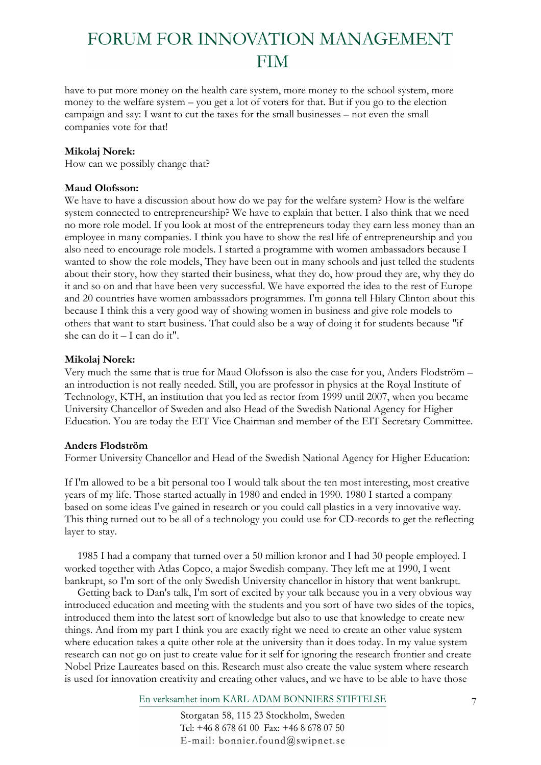have to put more money on the health care system, more money to the school system, more money to the welfare system – you get a lot of voters for that. But if you go to the election campaign and say: I want to cut the taxes for the small businesses – not even the small companies vote for that!

### **Mikolaj Norek:**

How can we possibly change that?

### **Maud Olofsson:**

We have to have a discussion about how do we pay for the welfare system? How is the welfare system connected to entrepreneurship? We have to explain that better. I also think that we need no more role model. If you look at most of the entrepreneurs today they earn less money than an employee in many companies. I think you have to show the real life of entrepreneurship and you also need to encourage role models. I started a programme with women ambassadors because I wanted to show the role models, They have been out in many schools and just telled the students about their story, how they started their business, what they do, how proud they are, why they do it and so on and that have been very successful. We have exported the idea to the rest of Europe and 20 countries have women ambassadors programmes. I'm gonna tell Hilary Clinton about this because I think this a very good way of showing women in business and give role models to others that want to start business. That could also be a way of doing it for students because "if she can do it – I can do it".

### **Mikolaj Norek:**

Very much the same that is true for Maud Olofsson is also the case for you, Anders Flodström – an introduction is not really needed. Still, you are professor in physics at the Royal Institute of Technology, KTH, an institution that you led as rector from 1999 until 2007, when you became University Chancellor of Sweden and also Head of the Swedish National Agency for Higher Education. You are today the EIT Vice Chairman and member of the EIT Secretary Committee.

### **Anders Flodström**

Former University Chancellor and Head of the Swedish National Agency for Higher Education:

If I'm allowed to be a bit personal too I would talk about the ten most interesting, most creative years of my life. Those started actually in 1980 and ended in 1990. 1980 I started a company based on some ideas I've gained in research or you could call plastics in a very innovative way. This thing turned out to be all of a technology you could use for CD-records to get the reflecting layer to stay.

1985 I had a company that turned over a 50 million kronor and I had 30 people employed. I worked together with Atlas Copco, a major Swedish company. They left me at 1990, I went bankrupt, so I'm sort of the only Swedish University chancellor in history that went bankrupt.

Getting back to Dan's talk, I'm sort of excited by your talk because you in a very obvious way introduced education and meeting with the students and you sort of have two sides of the topics, introduced them into the latest sort of knowledge but also to use that knowledge to create new things. And from my part I think you are exactly right we need to create an other value system where education takes a quite other role at the university than it does today. In my value system research can not go on just to create value for it self for ignoring the research frontier and create Nobel Prize Laureates based on this. Research must also create the value system where research is used for innovation creativity and creating other values, and we have to be able to have those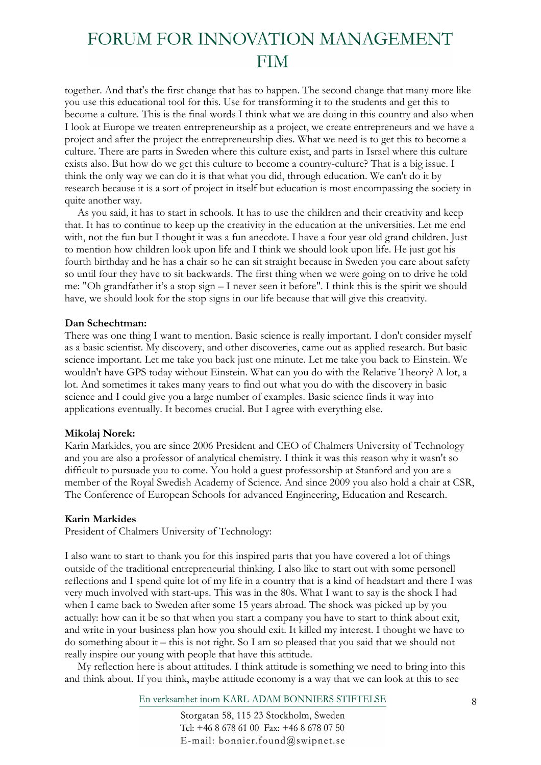together. And that's the first change that has to happen. The second change that many more like you use this educational tool for this. Use for transforming it to the students and get this to become a culture. This is the final words I think what we are doing in this country and also when I look at Europe we treaten entrepreneurship as a project, we create entrepreneurs and we have a project and after the project the entrepreneurship dies. What we need is to get this to become a culture. There are parts in Sweden where this culture exist, and parts in Israel where this culture exists also. But how do we get this culture to become a country-culture? That is a big issue. I think the only way we can do it is that what you did, through education. We can't do it by research because it is a sort of project in itself but education is most encompassing the society in quite another way.

As you said, it has to start in schools. It has to use the children and their creativity and keep that. It has to continue to keep up the creativity in the education at the universities. Let me end with, not the fun but I thought it was a fun anecdote. I have a four year old grand children. Just to mention how children look upon life and I think we should look upon life. He just got his fourth birthday and he has a chair so he can sit straight because in Sweden you care about safety so until four they have to sit backwards. The first thing when we were going on to drive he told me: "Oh grandfather it's a stop sign – I never seen it before". I think this is the spirit we should have, we should look for the stop signs in our life because that will give this creativity.

#### **Dan Schechtman:**

There was one thing I want to mention. Basic science is really important. I don't consider myself as a basic scientist. My discovery, and other discoveries, came out as applied research. But basic science important. Let me take you back just one minute. Let me take you back to Einstein. We wouldn't have GPS today without Einstein. What can you do with the Relative Theory? A lot, a lot. And sometimes it takes many years to find out what you do with the discovery in basic science and I could give you a large number of examples. Basic science finds it way into applications eventually. It becomes crucial. But I agree with everything else.

#### **Mikolaj Norek:**

Karin Markides, you are since 2006 President and CEO of Chalmers University of Technology and you are also a professor of analytical chemistry. I think it was this reason why it wasn't so difficult to pursuade you to come. You hold a guest professorship at Stanford and you are a member of the Royal Swedish Academy of Science. And since 2009 you also hold a chair at CSR, The Conference of European Schools for advanced Engineering, Education and Research.

#### **Karin Markides**

President of Chalmers University of Technology:

I also want to start to thank you for this inspired parts that you have covered a lot of things outside of the traditional entrepreneurial thinking. I also like to start out with some personell reflections and I spend quite lot of my life in a country that is a kind of headstart and there I was very much involved with start-ups. This was in the 80s. What I want to say is the shock I had when I came back to Sweden after some 15 years abroad. The shock was picked up by you actually: how can it be so that when you start a company you have to start to think about exit, and write in your business plan how you should exit. It killed my interest. I thought we have to do something about it – this is not right. So I am so pleased that you said that we should not really inspire our young with people that have this attitude.

My reflection here is about attitudes. I think attitude is something we need to bring into this and think about. If you think, maybe attitude economy is a way that we can look at this to see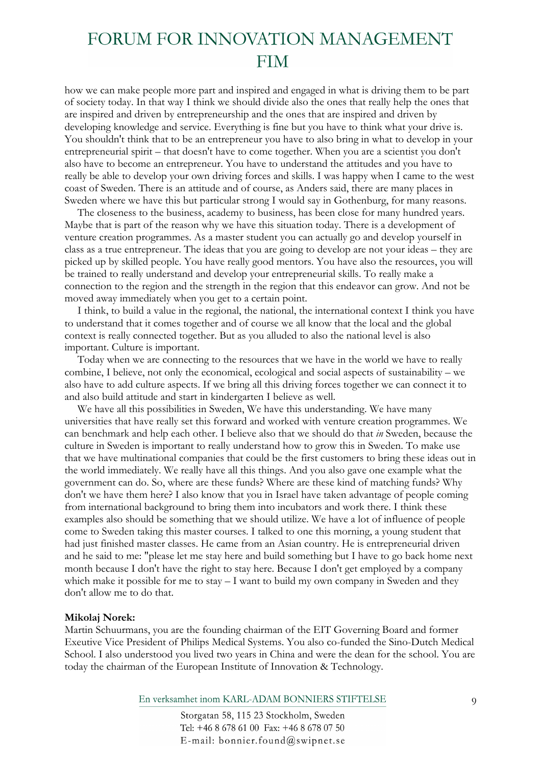how we can make people more part and inspired and engaged in what is driving them to be part of society today. In that way I think we should divide also the ones that really help the ones that are inspired and driven by entrepreneurship and the ones that are inspired and driven by developing knowledge and service. Everything is fine but you have to think what your drive is. You shouldn't think that to be an entrepreneur you have to also bring in what to develop in your entrepreneurial spirit – that doesn't have to come together. When you are a scientist you don't also have to become an entrepreneur. You have to understand the attitudes and you have to really be able to develop your own driving forces and skills. I was happy when I came to the west coast of Sweden. There is an attitude and of course, as Anders said, there are many places in Sweden where we have this but particular strong I would say in Gothenburg, for many reasons.

The closeness to the business, academy to business, has been close for many hundred years. Maybe that is part of the reason why we have this situation today. There is a development of venture creation programmes. As a master student you can actually go and develop yourself in class as a true entrepreneur. The ideas that you are going to develop are not your ideas – they are picked up by skilled people. You have really good mentors. You have also the resources, you will be trained to really understand and develop your entrepreneurial skills. To really make a connection to the region and the strength in the region that this endeavor can grow. And not be moved away immediately when you get to a certain point.

I think, to build a value in the regional, the national, the international context I think you have to understand that it comes together and of course we all know that the local and the global context is really connected together. But as you alluded to also the national level is also important. Culture is important.

Today when we are connecting to the resources that we have in the world we have to really combine, I believe, not only the economical, ecological and social aspects of sustainability – we also have to add culture aspects. If we bring all this driving forces together we can connect it to and also build attitude and start in kindergarten I believe as well.

We have all this possibilities in Sweden, We have this understanding. We have many universities that have really set this forward and worked with venture creation programmes. We can benchmark and help each other. I believe also that we should do that *in* Sweden, because the culture in Sweden is important to really understand how to grow this in Sweden. To make use that we have multinational companies that could be the first customers to bring these ideas out in the world immediately. We really have all this things. And you also gave one example what the government can do. So, where are these funds? Where are these kind of matching funds? Why don't we have them here? I also know that you in Israel have taken advantage of people coming from international background to bring them into incubators and work there. I think these examples also should be something that we should utilize. We have a lot of influence of people come to Sweden taking this master courses. I talked to one this morning, a young student that had just finished master classes. He came from an Asian country. He is entrepreneurial driven and he said to me: "please let me stay here and build something but I have to go back home next month because I don't have the right to stay here. Because I don't get employed by a company which make it possible for me to stay – I want to build my own company in Sweden and they don't allow me to do that.

#### **Mikolaj Norek:**

Martin Schuurmans, you are the founding chairman of the EIT Governing Board and former Exeutive Vice President of Philips Medical Systems. You also co-funded the Sino-Dutch Medical School. I also understood you lived two years in China and were the dean for the school. You are today the chairman of the European Institute of Innovation & Technology.

En verksamhet inom KARL-ADAM BONNIERS STIFTELSE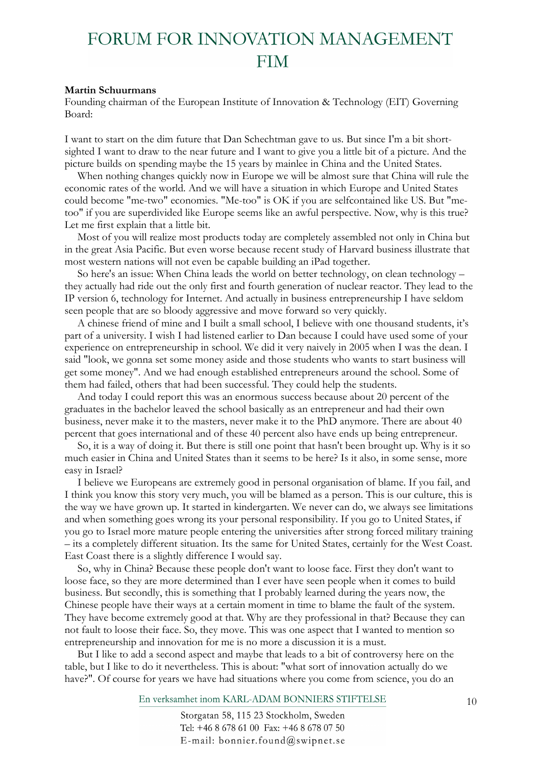#### **Martin Schuurmans**

Founding chairman of the European Institute of Innovation & Technology (EIT) Governing Board:

I want to start on the dim future that Dan Schechtman gave to us. But since I'm a bit shortsighted I want to draw to the near future and I want to give you a little bit of a picture. And the picture builds on spending maybe the 15 years by mainlee in China and the United States.

When nothing changes quickly now in Europe we will be almost sure that China will rule the economic rates of the world. And we will have a situation in which Europe and United States could become "me-two" economies. "Me-too" is OK if you are selfcontained like US. But "metoo" if you are superdivided like Europe seems like an awful perspective. Now, why is this true? Let me first explain that a little bit.

Most of you will realize most products today are completely assembled not only in China but in the great Asia Pacific. But even worse because recent study of Harvard business illustrate that most western nations will not even be capable building an iPad together.

So here's an issue: When China leads the world on better technology, on clean technology – they actually had ride out the only first and fourth generation of nuclear reactor. They lead to the IP version 6, technology for Internet. And actually in business entrepreneurship I have seldom seen people that are so bloody aggressive and move forward so very quickly.

A chinese friend of mine and I built a small school, I believe with one thousand students, it's part of a university. I wish I had listened earlier to Dan because I could have used some of your experience on entrepreneurship in school. We did it very naively in 2005 when I was the dean. I said "look, we gonna set some money aside and those students who wants to start business will get some money". And we had enough established entrepreneurs around the school. Some of them had failed, others that had been successful. They could help the students.

And today I could report this was an enormous success because about 20 percent of the graduates in the bachelor leaved the school basically as an entrepreneur and had their own business, never make it to the masters, never make it to the PhD anymore. There are about 40 percent that goes international and of these 40 percent also have ends up being entrepreneur.

So, it is a way of doing it. But there is still one point that hasn't been brought up. Why is it so much easier in China and United States than it seems to be here? Is it also, in some sense, more easy in Israel?

I believe we Europeans are extremely good in personal organisation of blame. If you fail, and I think you know this story very much, you will be blamed as a person. This is our culture, this is the way we have grown up. It started in kindergarten. We never can do, we always see limitations and when something goes wrong its your personal responsibility. If you go to United States, if you go to Israel more mature people entering the universities after strong forced military training – its a completely different situation. Its the same for United States, certainly for the West Coast. East Coast there is a slightly difference I would say.

So, why in China? Because these people don't want to loose face. First they don't want to loose face, so they are more determined than I ever have seen people when it comes to build business. But secondly, this is something that I probably learned during the years now, the Chinese people have their ways at a certain moment in time to blame the fault of the system. They have become extremely good at that. Why are they professional in that? Because they can not fault to loose their face. So, they move. This was one aspect that I wanted to mention so entrepreneurship and innovation for me is no more a discussion it is a must.

But I like to add a second aspect and maybe that leads to a bit of controversy here on the table, but I like to do it nevertheless. This is about: "what sort of innovation actually do we have?". Of course for years we have had situations where you come from science, you do an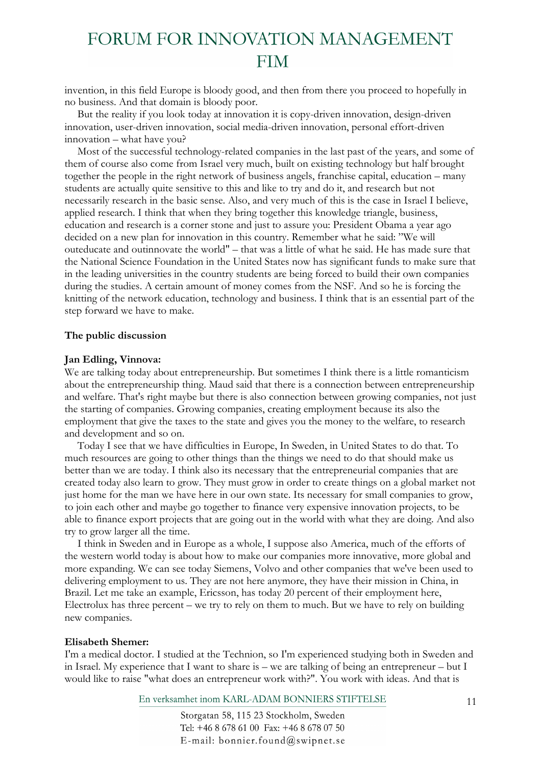invention, in this field Europe is bloody good, and then from there you proceed to hopefully in no business. And that domain is bloody poor.

But the reality if you look today at innovation it is copy-driven innovation, design-driven innovation, user-driven innovation, social media-driven innovation, personal effort-driven innovation – what have you?

Most of the successful technology-related companies in the last past of the years, and some of them of course also come from Israel very much, built on existing technology but half brought together the people in the right network of business angels, franchise capital, education – many students are actually quite sensitive to this and like to try and do it, and research but not necessarily research in the basic sense. Also, and very much of this is the case in Israel I believe, applied research. I think that when they bring together this knowledge triangle, business, education and research is a corner stone and just to assure you: President Obama a year ago decided on a new plan for innovation in this country. Remember what he said: "We will outeducate and outinnovate the world" – that was a little of what he said. He has made sure that the National Science Foundation in the United States now has significant funds to make sure that in the leading universities in the country students are being forced to build their own companies during the studies. A certain amount of money comes from the NSF. And so he is forcing the knitting of the network education, technology and business. I think that is an essential part of the step forward we have to make.

#### **The public discussion**

#### **Jan Edling, Vinnova:**

We are talking today about entrepreneurship. But sometimes I think there is a little romanticism about the entrepreneurship thing. Maud said that there is a connection between entrepreneurship and welfare. That's right maybe but there is also connection between growing companies, not just the starting of companies. Growing companies, creating employment because its also the employment that give the taxes to the state and gives you the money to the welfare, to research and development and so on.

Today I see that we have difficulties in Europe, In Sweden, in United States to do that. To much resources are going to other things than the things we need to do that should make us better than we are today. I think also its necessary that the entrepreneurial companies that are created today also learn to grow. They must grow in order to create things on a global market not just home for the man we have here in our own state. Its necessary for small companies to grow, to join each other and maybe go together to finance very expensive innovation projects, to be able to finance export projects that are going out in the world with what they are doing. And also try to grow larger all the time.

I think in Sweden and in Europe as a whole, I suppose also America, much of the efforts of the western world today is about how to make our companies more innovative, more global and more expanding. We can see today Siemens, Volvo and other companies that we've been used to delivering employment to us. They are not here anymore, they have their mission in China, in Brazil. Let me take an example, Ericsson, has today 20 percent of their employment here, Electrolux has three percent – we try to rely on them to much. But we have to rely on building new companies.

### **Elisabeth Shemer:**

I'm a medical doctor. I studied at the Technion, so I'm experienced studying both in Sweden and in Israel. My experience that I want to share is – we are talking of being an entrepreneur – but I would like to raise "what does an entrepreneur work with?". You work with ideas. And that is

En verksamhet inom KARL-ADAM BONNIERS STIFTELSE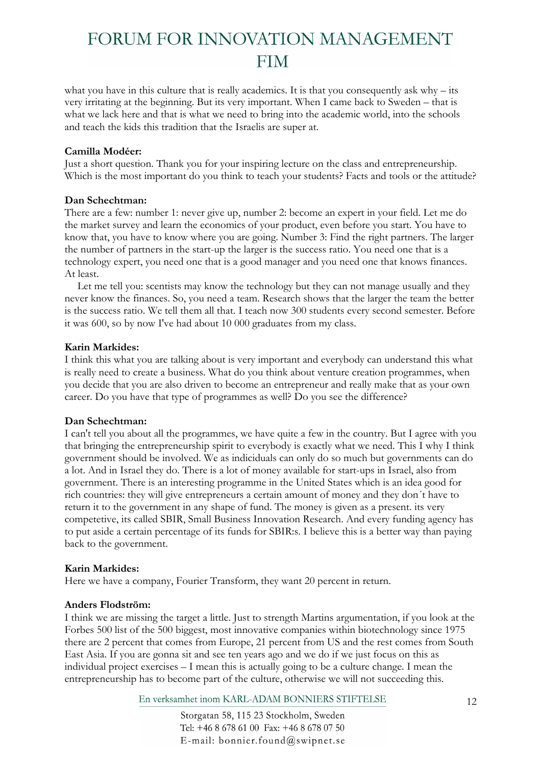what you have in this culture that is really academics. It is that you consequently ask why – its very irritating at the beginning. But its very important. When I came back to Sweden – that is what we lack here and that is what we need to bring into the academic world, into the schools and teach the kids this tradition that the Israelis are super at.

### **Camilla Modéer:**

Just a short question. Thank you for your inspiring lecture on the class and entrepreneurship. Which is the most important do you think to teach your students? Facts and tools or the attitude?

### **Dan Schechtman:**

There are a few: number 1: never give up, number 2: become an expert in your field. Let me do the market survey and learn the economics of your product, even before you start. You have to know that, you have to know where you are going. Number 3: Find the right partners. The larger the number of partners in the start-up the larger is the success ratio. You need one that is a technology expert, you need one that is a good manager and you need one that knows finances. At least.

Let me tell you: scentists may know the technology but they can not manage usually and they never know the finances. So, you need a team. Research shows that the larger the team the better is the success ratio. We tell them all that. I teach now 300 students every second semester. Before it was 600, so by now I've had about 10 000 graduates from my class.

### **Karin Markides:**

I think this what you are talking about is very important and everybody can understand this what is really need to create a business. What do you think about venture creation programmes, when you decide that you are also driven to become an entrepreneur and really make that as your own career. Do you have that type of programmes as well? Do you see the difference?

### **Dan Schechtman:**

I can't tell you about all the programmes, we have quite a few in the country. But I agree with you that bringing the entrepreneurship spirit to everybody is exactly what we need. This I why I think government should be involved. We as indiciduals can only do so much but governments can do a lot. And in Israel they do. There is a lot of money available for start-ups in Israel, also from government. There is an interesting programme in the United States which is an idea good for rich countries: they will give entrepreneurs a certain amount of money and they don´t have to return it to the government in any shape of fund. The money is given as a present. its very competetive, its called SBIR, Small Business Innovation Research. And every funding agency has to put aside a certain percentage of its funds for SBIR:s. I believe this is a better way than paying back to the government.

### **Karin Markides:**

Here we have a company, Fourier Transform, they want 20 percent in return.

### **Anders Flodström:**

I think we are missing the target a little. Just to strength Martins argumentation, if you look at the Forbes 500 list of the 500 biggest, most innovative companies within biotechnology since 1975 there are 2 percent that comes from Europe, 21 percent from US and the rest comes from South East Asia. If you are gonna sit and see ten years ago and we do if we just focus on this as individual project exercises – I mean this is actually going to be a culture change. I mean the entrepreneurship has to become part of the culture, otherwise we will not succeeding this.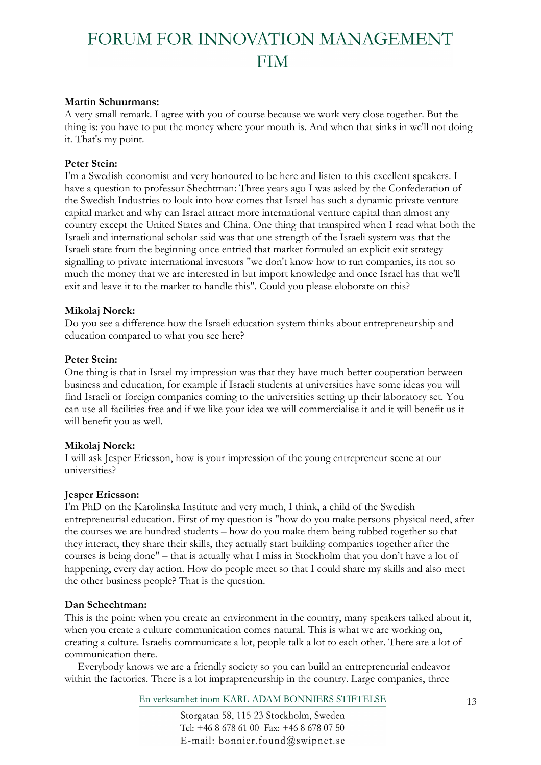### **Martin Schuurmans:**

A very small remark. I agree with you of course because we work very close together. But the thing is: you have to put the money where your mouth is. And when that sinks in we'll not doing it. That's my point.

### **Peter Stein:**

I'm a Swedish economist and very honoured to be here and listen to this excellent speakers. I have a question to professor Shechtman: Three years ago I was asked by the Confederation of the Swedish Industries to look into how comes that Israel has such a dynamic private venture capital market and why can Israel attract more international venture capital than almost any country except the United States and China. One thing that transpired when I read what both the Israeli and international scholar said was that one strength of the Israeli system was that the Israeli state from the beginning once entried that market formuled an explicit exit strategy signalling to private international investors "we don't know how to run companies, its not so much the money that we are interested in but import knowledge and once Israel has that we'll exit and leave it to the market to handle this". Could you please eloborate on this?

### **Mikolaj Norek:**

Do you see a difference how the Israeli education system thinks about entrepreneurship and education compared to what you see here?

### **Peter Stein:**

One thing is that in Israel my impression was that they have much better cooperation between business and education, for example if Israeli students at universities have some ideas you will find Israeli or foreign companies coming to the universities setting up their laboratory set. You can use all facilities free and if we like your idea we will commercialise it and it will benefit us it will benefit you as well.

## **Mikolaj Norek:**

I will ask Jesper Ericsson, how is your impression of the young entrepreneur scene at our universities?

### **Jesper Ericsson:**

I'm PhD on the Karolinska Institute and very much, I think, a child of the Swedish entrepreneurial education. First of my question is "how do you make persons physical need, after the courses we are hundred students – how do you make them being rubbed together so that they interact, they share their skills, they actually start building companies together after the courses is being done" – that is actually what I miss in Stockholm that you don't have a lot of happening, every day action. How do people meet so that I could share my skills and also meet the other business people? That is the question.

### **Dan Schechtman:**

This is the point: when you create an environment in the country, many speakers talked about it, when you create a culture communication comes natural. This is what we are working on, creating a culture. Israelis communicate a lot, people talk a lot to each other. There are a lot of communication there.

Everybody knows we are a friendly society so you can build an entrepreneurial endeavor within the factories. There is a lot imprapreneurship in the country. Large companies, three

En verksamhet inom KARL-ADAM BONNIERS STIFTELSE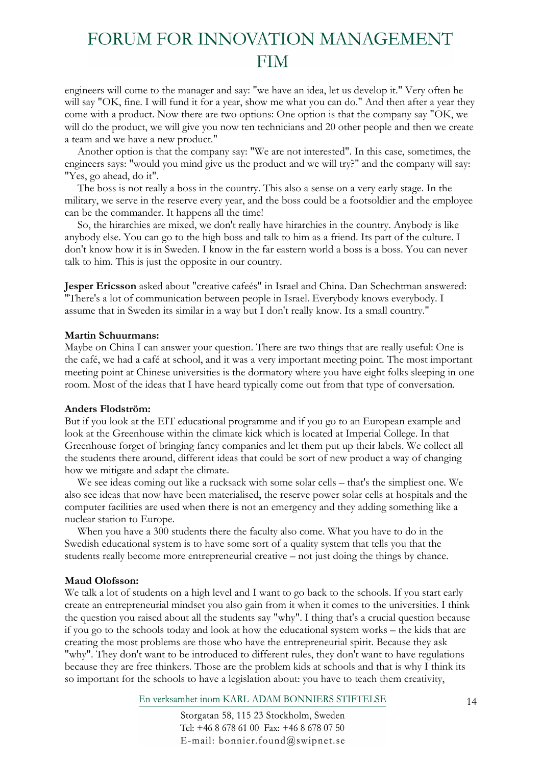engineers will come to the manager and say: "we have an idea, let us develop it." Very often he will say "OK, fine. I will fund it for a year, show me what you can do." And then after a year they come with a product. Now there are two options: One option is that the company say "OK, we will do the product, we will give you now ten technicians and 20 other people and then we create a team and we have a new product."

Another option is that the company say: "We are not interested". In this case, sometimes, the engineers says: "would you mind give us the product and we will try?" and the company will say: "Yes, go ahead, do it".

The boss is not really a boss in the country. This also a sense on a very early stage. In the military, we serve in the reserve every year, and the boss could be a footsoldier and the employee can be the commander. It happens all the time!

So, the hirarchies are mixed, we don't really have hirarchies in the country. Anybody is like anybody else. You can go to the high boss and talk to him as a friend. Its part of the culture. I don't know how it is in Sweden. I know in the far eastern world a boss is a boss. You can never talk to him. This is just the opposite in our country.

**Jesper Ericsson** asked about "creative cafeés" in Israel and China. Dan Schechtman answered: "There's a lot of communication between people in Israel. Everybody knows everybody. I assume that in Sweden its similar in a way but I don't really know. Its a small country."

### **Martin Schuurmans:**

Maybe on China I can answer your question. There are two things that are really useful: One is the café, we had a café at school, and it was a very important meeting point. The most important meeting point at Chinese universities is the dormatory where you have eight folks sleeping in one room. Most of the ideas that I have heard typically come out from that type of conversation.

#### **Anders Flodström:**

But if you look at the EIT educational programme and if you go to an European example and look at the Greenhouse within the climate kick which is located at Imperial College. In that Greenhouse forget of bringing fancy companies and let them put up their labels. We collect all the students there around, different ideas that could be sort of new product a way of changing how we mitigate and adapt the climate.

We see ideas coming out like a rucksack with some solar cells – that's the simpliest one. We also see ideas that now have been materialised, the reserve power solar cells at hospitals and the computer facilities are used when there is not an emergency and they adding something like a nuclear station to Europe.

When you have a 300 students there the faculty also come. What you have to do in the Swedish educational system is to have some sort of a quality system that tells you that the students really become more entrepreneurial creative – not just doing the things by chance.

### **Maud Olofsson:**

We talk a lot of students on a high level and I want to go back to the schools. If you start early create an entrepreneurial mindset you also gain from it when it comes to the universities. I think the question you raised about all the students say "why". I thing that's a crucial question because if you go to the schools today and look at how the educational system works – the kids that are creating the most problems are those who have the entrepreneurial spirit. Because they ask "why". They don't want to be introduced to different rules, they don't want to have regulations because they are free thinkers. Those are the problem kids at schools and that is why I think its so important for the schools to have a legislation about: you have to teach them creativity,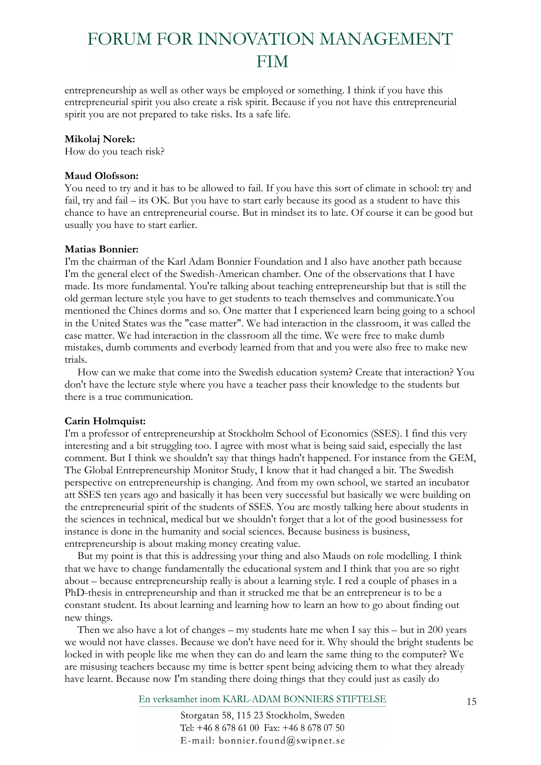entrepreneurship as well as other ways be employed or something. I think if you have this entrepreneurial spirit you also create a risk spirit. Because if you not have this entrepreneurial spirit you are not prepared to take risks. Its a safe life.

### **Mikolaj Norek:**

How do you teach risk?

### **Maud Olofsson:**

You need to try and it has to be allowed to fail. If you have this sort of climate in school: try and fail, try and fail – its OK. But you have to start early because its good as a student to have this chance to have an entrepreneurial course. But in mindset its to late. Of course it can be good but usually you have to start earlier.

### **Matias Bonnier:**

I'm the chairman of the Karl Adam Bonnier Foundation and I also have another path because I'm the general elect of the Swedish-American chamber. One of the observations that I have made. Its more fundamental. You're talking about teaching entrepreneurship but that is still the old german lecture style you have to get students to teach themselves and communicate.You mentioned the Chines dorms and so. One matter that I experienced learn being going to a school in the United States was the "case matter". We had interaction in the classroom, it was called the case matter. We had interaction in the classroom all the time. We were free to make dumb mistakes, dumb comments and everbody learned from that and you were also free to make new trials.

How can we make that come into the Swedish education system? Create that interaction? You don't have the lecture style where you have a teacher pass their knowledge to the students but there is a true communication.

## **Carin Holmquist:**

I'm a professor of entrepreneurship at Stockholm School of Economics (SSES). I find this very interesting and a bit struggling too. I agree with most what is being said said, especially the last comment. But I think we shouldn't say that things hadn't happened. For instance from the GEM, The Global Entrepreneurship Monitor Study, I know that it had changed a bit. The Swedish perspective on entrepreneurship is changing. And from my own school, we started an incubator att SSES ten years ago and basically it has been very successful but basically we were building on the entrepreneurial spirit of the students of SSES. You are mostly talking here about students in the sciences in technical, medical but we shouldn't forget that a lot of the good businessess for instance is done in the humanity and social sciences. Because business is business, entrepreneurship is about making money creating value.

But my point is that this is addressing your thing and also Mauds on role modelling. I think that we have to change fundamentally the educational system and I think that you are so right about – because entrepreneurship really is about a learning style. I red a couple of phases in a PhD-thesis in entrepreneurship and than it strucked me that be an entrepreneur is to be a constant student. Its about learning and learning how to learn an how to go about finding out new things.

Then we also have a lot of changes – my students hate me when I say this – but in 200 years we would not have classes. Because we don't have need for it. Why should the bright students be locked in with people like me when they can do and learn the same thing to the computer? We are misusing teachers because my time is better spent being advicing them to what they already have learnt. Because now I'm standing there doing things that they could just as easily do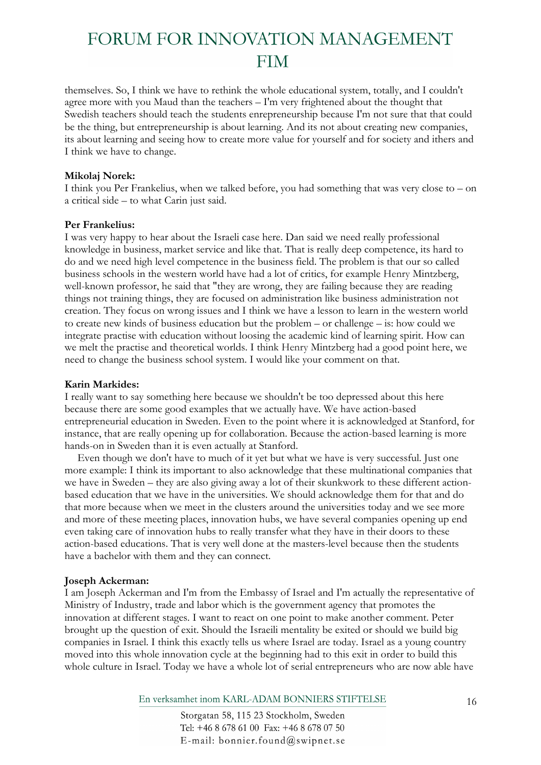themselves. So, I think we have to rethink the whole educational system, totally, and I couldn't agree more with you Maud than the teachers – I'm very frightened about the thought that Swedish teachers should teach the students enrepreneurship because I'm not sure that that could be the thing, but entrepreneurship is about learning. And its not about creating new companies, its about learning and seeing how to create more value for yourself and for society and ithers and I think we have to change.

### **Mikolaj Norek:**

I think you Per Frankelius, when we talked before, you had something that was very close to – on a critical side – to what Carin just said.

### **Per Frankelius:**

I was very happy to hear about the Israeli case here. Dan said we need really professional knowledge in business, market service and like that. That is really deep competence, its hard to do and we need high level competence in the business field. The problem is that our so called business schools in the western world have had a lot of critics, for example Henry Mintzberg, well-known professor, he said that "they are wrong, they are failing because they are reading things not training things, they are focused on administration like business administration not creation. They focus on wrong issues and I think we have a lesson to learn in the western world to create new kinds of business education but the problem – or challenge – is: how could we integrate practise with education without loosing the academic kind of learning spirit. How can we melt the practise and theoretical worlds. I think Henry Mintzberg had a good point here, we need to change the business school system. I would like your comment on that.

### **Karin Markides:**

I really want to say something here because we shouldn't be too depressed about this here because there are some good examples that we actually have. We have action-based entrepreneurial education in Sweden. Even to the point where it is acknowledged at Stanford, for instance, that are really opening up for collaboration. Because the action-based learning is more hands-on in Sweden than it is even actually at Stanford.

Even though we don't have to much of it yet but what we have is very successful. Just one more example: I think its important to also acknowledge that these multinational companies that we have in Sweden – they are also giving away a lot of their skunkwork to these different actionbased education that we have in the universities. We should acknowledge them for that and do that more because when we meet in the clusters around the universities today and we see more and more of these meeting places, innovation hubs, we have several companies opening up end even taking care of innovation hubs to really transfer what they have in their doors to these action-based educations. That is very well done at the masters-level because then the students have a bachelor with them and they can connect.

## **Joseph Ackerman:**

I am Joseph Ackerman and I'm from the Embassy of Israel and I'm actually the representative of Ministry of Industry, trade and labor which is the government agency that promotes the innovation at different stages. I want to react on one point to make another comment. Peter brought up the question of exit. Should the Israeili mentality be exited or should we build big companies in Israel. I think this exactly tells us where Israel are today. Israel as a young country moved into this whole innovation cycle at the beginning had to this exit in order to build this whole culture in Israel. Today we have a whole lot of serial entrepreneurs who are now able have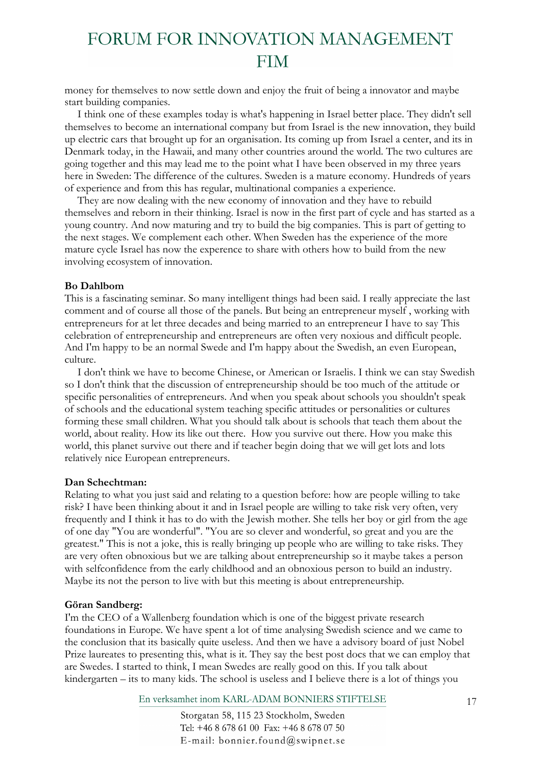money for themselves to now settle down and enjoy the fruit of being a innovator and maybe start building companies.

I think one of these examples today is what's happening in Israel better place. They didn't sell themselves to become an international company but from Israel is the new innovation, they build up electric cars that brought up for an organisation. Its coming up from Israel a center, and its in Denmark today, in the Hawaii, and many other countries around the world. The two cultures are going together and this may lead me to the point what I have been observed in my three years here in Sweden: The difference of the cultures. Sweden is a mature economy. Hundreds of years of experience and from this has regular, multinational companies a experience.

They are now dealing with the new economy of innovation and they have to rebuild themselves and reborn in their thinking. Israel is now in the first part of cycle and has started as a young country. And now maturing and try to build the big companies. This is part of getting to the next stages. We complement each other. When Sweden has the experience of the more mature cycle Israel has now the experence to share with others how to build from the new involving ecosystem of innovation.

### **Bo Dahlbom**

This is a fascinating seminar. So many intelligent things had been said. I really appreciate the last comment and of course all those of the panels. But being an entrepreneur myself , working with entrepreneurs for at let three decades and being married to an entrepreneur I have to say This celebration of entrepreneurship and entrepreneurs are often very noxious and difficult people. And I'm happy to be an normal Swede and I'm happy about the Swedish, an even European, culture.

I don't think we have to become Chinese, or American or Israelis. I think we can stay Swedish so I don't think that the discussion of entrepreneurship should be too much of the attitude or specific personalities of entrepreneurs. And when you speak about schools you shouldn't speak of schools and the educational system teaching specific attitudes or personalities or cultures forming these small children. What you should talk about is schools that teach them about the world, about reality. How its like out there. How you survive out there. How you make this world, this planet survive out there and if teacher begin doing that we will get lots and lots relatively nice European entrepreneurs.

### **Dan Schechtman:**

Relating to what you just said and relating to a question before: how are people willing to take risk? I have been thinking about it and in Israel people are willing to take risk very often, very frequently and I think it has to do with the Jewish mother. She tells her boy or girl from the age of one day "You are wonderful". "You are so clever and wonderful, so great and you are the greatest." This is not a joke, this is really bringing up people who are willing to take risks. They are very often obnoxious but we are talking about entrepreneurship so it maybe takes a person with selfconfidence from the early childhood and an obnoxious person to build an industry. Maybe its not the person to live with but this meeting is about entrepreneurship.

### **Göran Sandberg:**

I'm the CEO of a Wallenberg foundation which is one of the biggest private research foundations in Europe. We have spent a lot of time analysing Swedish science and we came to the conclusion that its basically quite useless. And then we have a advisory board of just Nobel Prize laureates to presenting this, what is it. They say the best post docs that we can employ that are Swedes. I started to think, I mean Swedes are really good on this. If you talk about kindergarten – its to many kids. The school is useless and I believe there is a lot of things you

En verksamhet inom KARL-ADAM BONNIERS STIFTELSE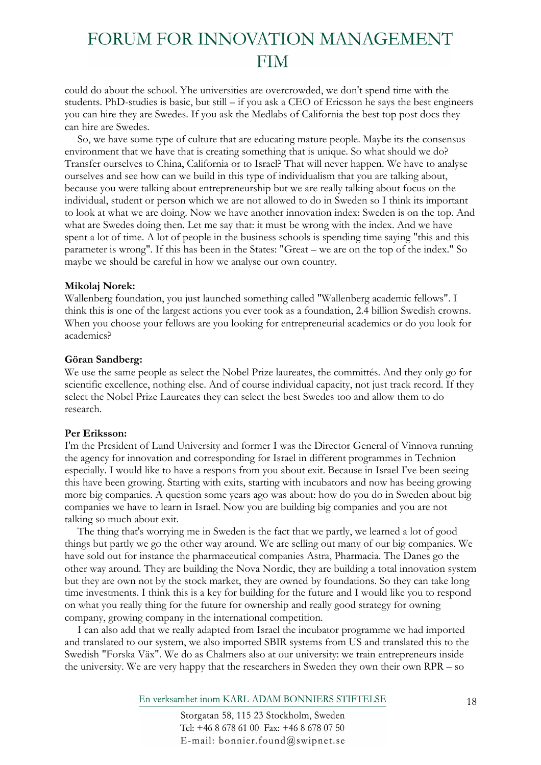could do about the school. Yhe universities are overcrowded, we don't spend time with the students. PhD-studies is basic, but still – if you ask a CEO of Ericsson he says the best engineers you can hire they are Swedes. If you ask the Medlabs of California the best top post docs they can hire are Swedes.

So, we have some type of culture that are educating mature people. Maybe its the consensus environment that we have that is creating something that is unique. So what should we do? Transfer ourselves to China, California or to Israel? That will never happen. We have to analyse ourselves and see how can we build in this type of individualism that you are talking about, because you were talking about entrepreneurship but we are really talking about focus on the individual, student or person which we are not allowed to do in Sweden so I think its important to look at what we are doing. Now we have another innovation index: Sweden is on the top. And what are Swedes doing then. Let me say that: it must be wrong with the index. And we have spent a lot of time. A lot of people in the business schools is spending time saying "this and this parameter is wrong". If this has been in the States: "Great – we are on the top of the index." So maybe we should be careful in how we analyse our own country.

#### **Mikolaj Norek:**

Wallenberg foundation, you just launched something called "Wallenberg academic fellows". I think this is one of the largest actions you ever took as a foundation, 2.4 billion Swedish crowns. When you choose your fellows are you looking for entrepreneurial academics or do you look for academics?

#### **Göran Sandberg:**

We use the same people as select the Nobel Prize laureates, the committés. And they only go for scientific excellence, nothing else. And of course individual capacity, not just track record. If they select the Nobel Prize Laureates they can select the best Swedes too and allow them to do research.

### **Per Eriksson:**

I'm the President of Lund University and former I was the Director General of Vinnova running the agency for innovation and corresponding for Israel in different programmes in Technion especially. I would like to have a respons from you about exit. Because in Israel I've been seeing this have been growing. Starting with exits, starting with incubators and now has beeing growing more big companies. A question some years ago was about: how do you do in Sweden about big companies we have to learn in Israel. Now you are building big companies and you are not talking so much about exit.

The thing that's worrying me in Sweden is the fact that we partly, we learned a lot of good things but partly we go the other way around. We are selling out many of our big companies. We have sold out for instance the pharmaceutical companies Astra, Pharmacia. The Danes go the other way around. They are building the Nova Nordic, they are building a total innovation system but they are own not by the stock market, they are owned by foundations. So they can take long time investments. I think this is a key for building for the future and I would like you to respond on what you really thing for the future for ownership and really good strategy for owning company, growing company in the international competition.

I can also add that we really adapted from Israel the incubator programme we had imported and translated to our system, we also imported SBIR systems from US and translated this to the Swedish "Forska Väx". We do as Chalmers also at our university: we train entrepreneurs inside the university. We are very happy that the researchers in Sweden they own their own RPR – so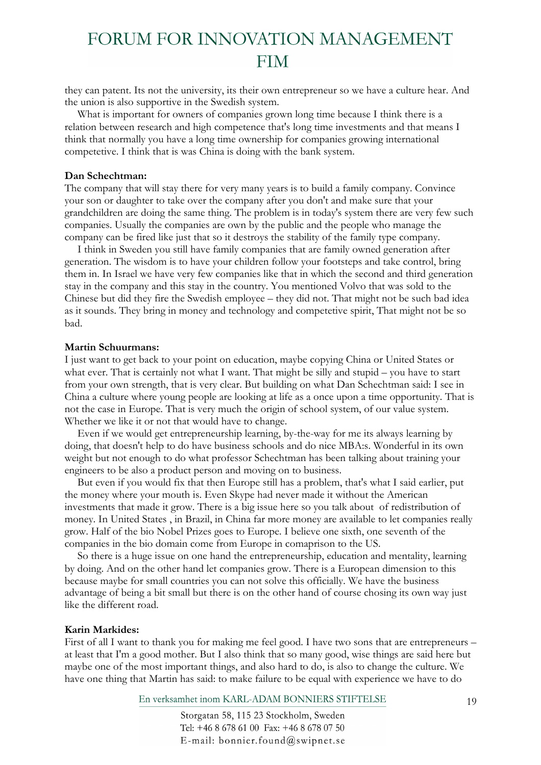they can patent. Its not the university, its their own entrepreneur so we have a culture hear. And the union is also supportive in the Swedish system.

What is important for owners of companies grown long time because I think there is a relation between research and high competence that's long time investments and that means I think that normally you have a long time ownership for companies growing international competetive. I think that is was China is doing with the bank system.

#### **Dan Schechtman:**

The company that will stay there for very many years is to build a family company. Convince your son or daughter to take over the company after you don't and make sure that your grandchildren are doing the same thing. The problem is in today's system there are very few such companies. Usually the companies are own by the public and the people who manage the company can be fired like just that so it destroys the stability of the family type company.

I think in Sweden you still have family companies that are family owned generation after generation. The wisdom is to have your children follow your footsteps and take control, bring them in. In Israel we have very few companies like that in which the second and third generation stay in the company and this stay in the country. You mentioned Volvo that was sold to the Chinese but did they fire the Swedish employee – they did not. That might not be such bad idea as it sounds. They bring in money and technology and competetive spirit, That might not be so bad.

#### **Martin Schuurmans:**

I just want to get back to your point on education, maybe copying China or United States or what ever. That is certainly not what I want. That might be silly and stupid – you have to start from your own strength, that is very clear. But building on what Dan Schechtman said: I see in China a culture where young people are looking at life as a once upon a time opportunity. That is not the case in Europe. That is very much the origin of school system, of our value system. Whether we like it or not that would have to change.

Even if we would get entrepreneurship learning, by-the-way for me its always learning by doing, that doesn't help to do have business schools and do nice MBA:s. Wonderful in its own weight but not enough to do what professor Schechtman has been talking about training your engineers to be also a product person and moving on to business.

But even if you would fix that then Europe still has a problem, that's what I said earlier, put the money where your mouth is. Even Skype had never made it without the American investments that made it grow. There is a big issue here so you talk about of redistribution of money. In United States , in Brazil, in China far more money are available to let companies really grow. Half of the bio Nobel Prizes goes to Europe. I believe one sixth, one seventh of the companies in the bio domain come from Europe in comaprison to the US.

So there is a huge issue on one hand the entrepreneurship, education and mentality, learning by doing. And on the other hand let companies grow. There is a European dimension to this because maybe for small countries you can not solve this officially. We have the business advantage of being a bit small but there is on the other hand of course chosing its own way just like the different road.

#### **Karin Markides:**

First of all I want to thank you for making me feel good. I have two sons that are entrepreneurs – at least that I'm a good mother. But I also think that so many good, wise things are said here but maybe one of the most important things, and also hard to do, is also to change the culture. We have one thing that Martin has said: to make failure to be equal with experience we have to do

En verksamhet inom KARL-ADAM BONNIERS STIFTELSE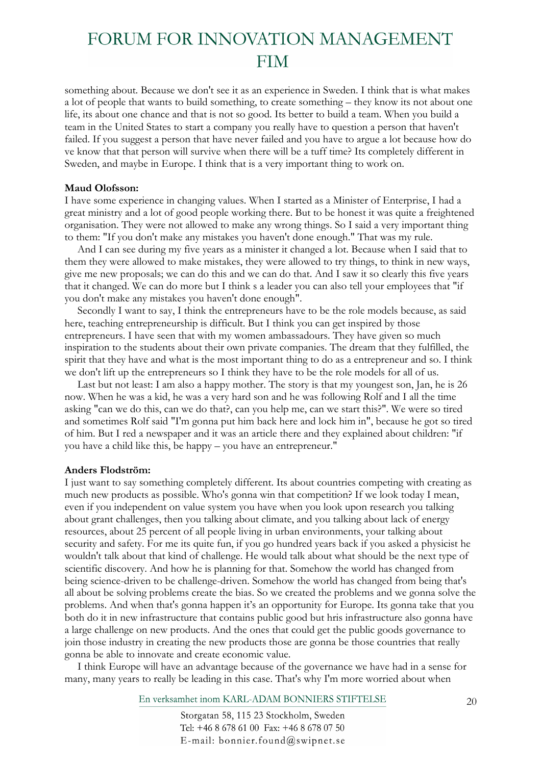something about. Because we don't see it as an experience in Sweden. I think that is what makes a lot of people that wants to build something, to create something – they know its not about one life, its about one chance and that is not so good. Its better to build a team. When you build a team in the United States to start a company you really have to question a person that haven't failed. If you suggest a person that have never failed and you have to argue a lot because how do ve know that that person will survive when there will be a tuff time? Its completely different in Sweden, and maybe in Europe. I think that is a very important thing to work on.

#### **Maud Olofsson:**

I have some experience in changing values. When I started as a Minister of Enterprise, I had a great ministry and a lot of good people working there. But to be honest it was quite a freightened organisation. They were not allowed to make any wrong things. So I said a very important thing to them: "If you don't make any mistakes you haven't done enough." That was my rule.

And I can see during my five years as a minister it changed a lot. Because when I said that to them they were allowed to make mistakes, they were allowed to try things, to think in new ways, give me new proposals; we can do this and we can do that. And I saw it so clearly this five years that it changed. We can do more but I think s a leader you can also tell your employees that "if you don't make any mistakes you haven't done enough".

Secondly I want to say, I think the entrepreneurs have to be the role models because, as said here, teaching entrepreneurship is difficult. But I think you can get inspired by those entrepreneurs. I have seen that with my women ambassadours. They have given so much inspiration to the students about their own private companies. The dream that they fulfilled, the spirit that they have and what is the most important thing to do as a entrepreneur and so. I think we don't lift up the entrepreneurs so I think they have to be the role models for all of us.

Last but not least: I am also a happy mother. The story is that my youngest son, Jan, he is 26 now. When he was a kid, he was a very hard son and he was following Rolf and I all the time asking "can we do this, can we do that?, can you help me, can we start this?". We were so tired and sometimes Rolf said "I'm gonna put him back here and lock him in", because he got so tired of him. But I red a newspaper and it was an article there and they explained about children: "if you have a child like this, be happy – you have an entrepreneur."

#### **Anders Flodström:**

I just want to say something completely different. Its about countries competing with creating as much new products as possible. Who's gonna win that competition? If we look today I mean, even if you independent on value system you have when you look upon research you talking about grant challenges, then you talking about climate, and you talking about lack of energy resources, about 25 percent of all people living in urban environments, your talking about security and safety. For me its quite fun, if you go hundred years back if you asked a physicist he wouldn't talk about that kind of challenge. He would talk about what should be the next type of scientific discovery. And how he is planning for that. Somehow the world has changed from being science-driven to be challenge-driven. Somehow the world has changed from being that's all about be solving problems create the bias. So we created the problems and we gonna solve the problems. And when that's gonna happen it's an opportunity for Europe. Its gonna take that you both do it in new infrastructure that contains public good but hris infrastructure also gonna have a large challenge on new products. And the ones that could get the public goods governance to join those industry in creating the new products those are gonna be those countries that really gonna be able to innovate and create economic value.

I think Europe will have an advantage because of the governance we have had in a sense for many, many years to really be leading in this case. That's why I'm more worried about when

En verksamhet inom KARL-ADAM BONNIERS STIFTELSE